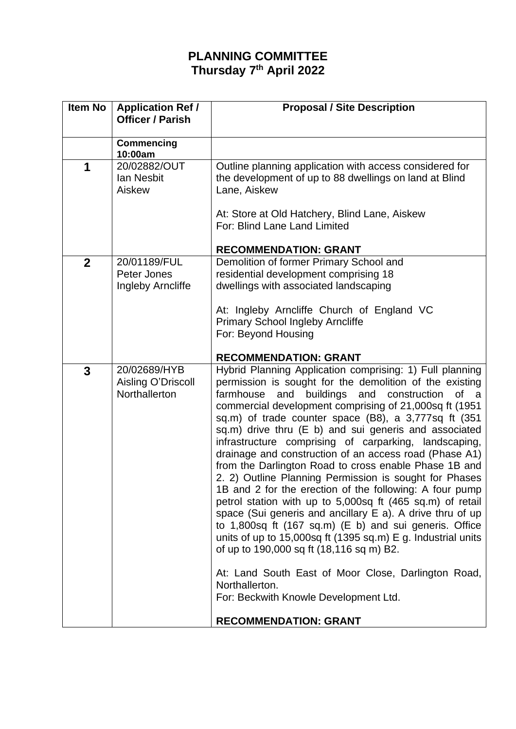## **PLANNING COMMITTEE Thursday 7 th April 2022**

| <b>Item No</b> | <b>Application Ref /</b><br><b>Officer / Parish</b> | <b>Proposal / Site Description</b>                                                                                                                                                                                                                                                                                                                                                                                                                                                                                                                                                                                                                                                                                                                                                                                                                                                                                                                                                                                                                                                                          |
|----------------|-----------------------------------------------------|-------------------------------------------------------------------------------------------------------------------------------------------------------------------------------------------------------------------------------------------------------------------------------------------------------------------------------------------------------------------------------------------------------------------------------------------------------------------------------------------------------------------------------------------------------------------------------------------------------------------------------------------------------------------------------------------------------------------------------------------------------------------------------------------------------------------------------------------------------------------------------------------------------------------------------------------------------------------------------------------------------------------------------------------------------------------------------------------------------------|
|                | <b>Commencing</b><br>10:00am                        |                                                                                                                                                                                                                                                                                                                                                                                                                                                                                                                                                                                                                                                                                                                                                                                                                                                                                                                                                                                                                                                                                                             |
| 1              | 20/02882/OUT<br>lan Nesbit<br>Aiskew                | Outline planning application with access considered for<br>the development of up to 88 dwellings on land at Blind<br>Lane, Aiskew                                                                                                                                                                                                                                                                                                                                                                                                                                                                                                                                                                                                                                                                                                                                                                                                                                                                                                                                                                           |
|                |                                                     | At: Store at Old Hatchery, Blind Lane, Aiskew<br>For: Blind Lane Land Limited                                                                                                                                                                                                                                                                                                                                                                                                                                                                                                                                                                                                                                                                                                                                                                                                                                                                                                                                                                                                                               |
|                |                                                     | <b>RECOMMENDATION: GRANT</b>                                                                                                                                                                                                                                                                                                                                                                                                                                                                                                                                                                                                                                                                                                                                                                                                                                                                                                                                                                                                                                                                                |
| $\mathbf{2}$   | 20/01189/FUL<br>Peter Jones<br>Ingleby Arncliffe    | Demolition of former Primary School and<br>residential development comprising 18<br>dwellings with associated landscaping<br>At: Ingleby Arncliffe Church of England VC                                                                                                                                                                                                                                                                                                                                                                                                                                                                                                                                                                                                                                                                                                                                                                                                                                                                                                                                     |
|                |                                                     | <b>Primary School Ingleby Arncliffe</b><br>For: Beyond Housing<br><b>RECOMMENDATION: GRANT</b>                                                                                                                                                                                                                                                                                                                                                                                                                                                                                                                                                                                                                                                                                                                                                                                                                                                                                                                                                                                                              |
| 3              | 20/02689/HYB<br>Aisling O'Driscoll<br>Northallerton | Hybrid Planning Application comprising: 1) Full planning<br>permission is sought for the demolition of the existing<br>buildings and construction<br>farmhouse<br>and<br>of a<br>commercial development comprising of 21,000sq ft (1951<br>sq.m) of trade counter space (B8), a 3,777sq ft (351<br>sq.m) drive thru (E b) and sui generis and associated<br>infrastructure comprising of carparking, landscaping,<br>drainage and construction of an access road (Phase A1)<br>from the Darlington Road to cross enable Phase 1B and<br>2. 2) Outline Planning Permission is sought for Phases<br>1B and 2 for the erection of the following: A four pump<br>petrol station with up to 5,000sq ft (465 sq.m) of retail<br>space (Sui generis and ancillary E a). A drive thru of up<br>to 1,800sq ft (167 sq.m) (E b) and sui generis. Office<br>units of up to 15,000sq ft (1395 sq.m) E g. Industrial units<br>of up to 190,000 sq ft (18,116 sq m) B2.<br>At: Land South East of Moor Close, Darlington Road,<br>Northallerton.<br>For: Beckwith Knowle Development Ltd.<br><b>RECOMMENDATION: GRANT</b> |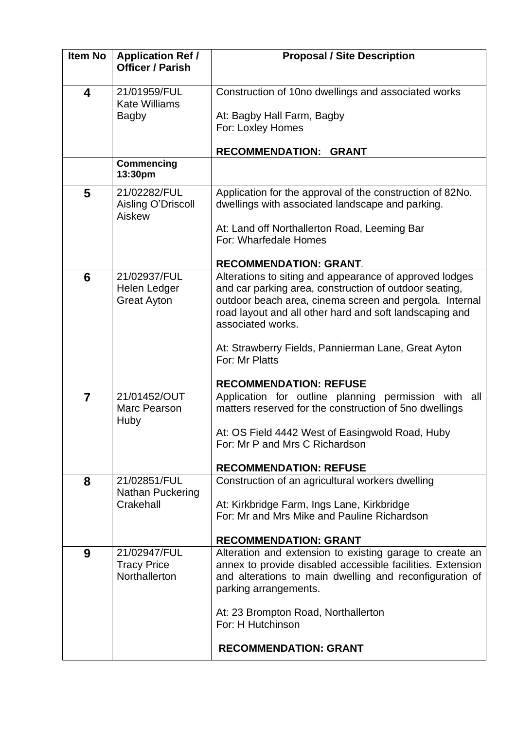| <b>Item No</b> | <b>Application Ref /</b><br><b>Officer / Parish</b>  | <b>Proposal / Site Description</b>                                                                                                                                                                                                                                                                                                                                     |
|----------------|------------------------------------------------------|------------------------------------------------------------------------------------------------------------------------------------------------------------------------------------------------------------------------------------------------------------------------------------------------------------------------------------------------------------------------|
| 4              | 21/01959/FUL<br><b>Kate Williams</b><br><b>Bagby</b> | Construction of 10no dwellings and associated works<br>At: Bagby Hall Farm, Bagby<br>For: Loxley Homes<br>RECOMMENDATION: GRANT                                                                                                                                                                                                                                        |
|                | <b>Commencing</b><br>13:30pm                         |                                                                                                                                                                                                                                                                                                                                                                        |
| 5              | 21/02282/FUL<br>Aisling O'Driscoll<br>Aiskew         | Application for the approval of the construction of 82No.<br>dwellings with associated landscape and parking.<br>At: Land off Northallerton Road, Leeming Bar<br>For: Wharfedale Homes<br><b>RECOMMENDATION: GRANT.</b>                                                                                                                                                |
| 6              | 21/02937/FUL<br>Helen Ledger<br><b>Great Ayton</b>   | Alterations to siting and appearance of approved lodges<br>and car parking area, construction of outdoor seating,<br>outdoor beach area, cinema screen and pergola. Internal<br>road layout and all other hard and soft landscaping and<br>associated works.<br>At: Strawberry Fields, Pannierman Lane, Great Ayton<br>For: Mr Platts<br><b>RECOMMENDATION: REFUSE</b> |
| $\overline{7}$ | 21/01452/OUT<br>Marc Pearson<br>Huby                 | Application for outline planning permission with all<br>matters reserved for the construction of 5no dwellings<br>At: OS Field 4442 West of Easingwold Road, Huby<br>For: Mr P and Mrs C Richardson<br><b>RECOMMENDATION: REFUSE</b>                                                                                                                                   |
| 8              | 21/02851/FUL<br><b>Nathan Puckering</b><br>Crakehall | Construction of an agricultural workers dwelling<br>At: Kirkbridge Farm, Ings Lane, Kirkbridge<br>For: Mr and Mrs Mike and Pauline Richardson<br><b>RECOMMENDATION: GRANT</b>                                                                                                                                                                                          |
| 9              | 21/02947/FUL<br><b>Tracy Price</b><br>Northallerton  | Alteration and extension to existing garage to create an<br>annex to provide disabled accessible facilities. Extension<br>and alterations to main dwelling and reconfiguration of<br>parking arrangements.<br>At: 23 Brompton Road, Northallerton<br>For: H Hutchinson<br><b>RECOMMENDATION: GRANT</b>                                                                 |